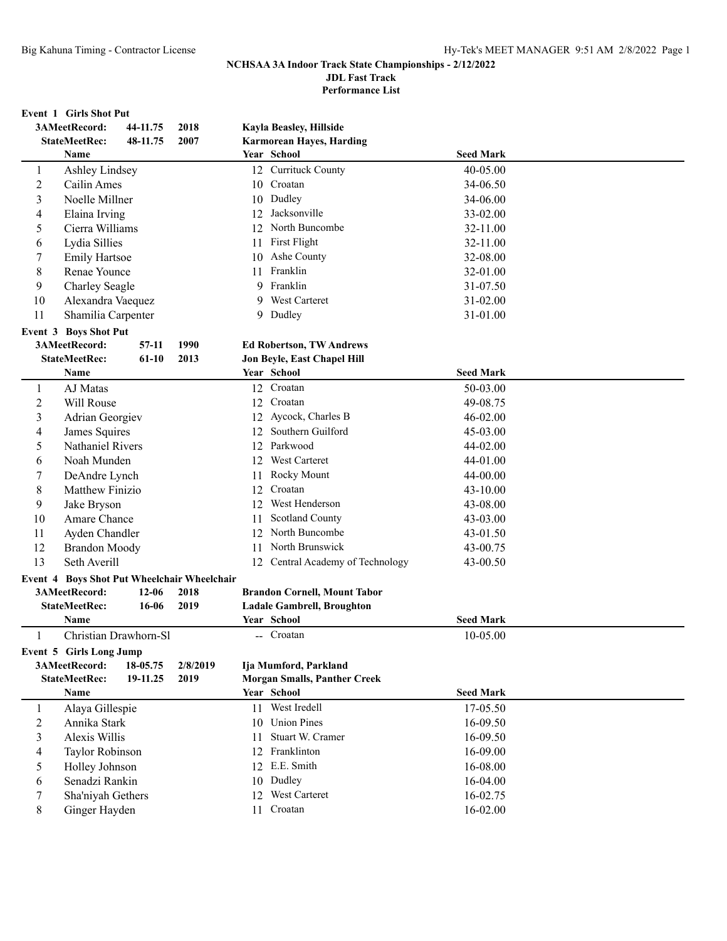**Performance List**

#### **Event 1 Girls Shot Put**

|                | 3AMeetRecord:                         | 44-11.75  | 2018                                                |    | Kayla Beasley, Hillside                                      |                      |  |
|----------------|---------------------------------------|-----------|-----------------------------------------------------|----|--------------------------------------------------------------|----------------------|--|
|                | <b>StateMeetRec:</b>                  | 48-11.75  | 2007                                                |    | <b>Karmorean Hayes, Harding</b>                              |                      |  |
|                | Name                                  |           |                                                     |    | Year School                                                  | <b>Seed Mark</b>     |  |
| $\mathbf{1}$   | <b>Ashley Lindsey</b>                 |           |                                                     |    | 12 Currituck County                                          | 40-05.00             |  |
| $\overline{c}$ | Cailin Ames                           |           |                                                     |    | 10 Croatan                                                   | 34-06.50             |  |
| 3              | Noelle Millner                        |           |                                                     |    | 10 Dudley                                                    | 34-06.00             |  |
| 4              | Elaina Irving                         |           |                                                     | 12 | Jacksonville                                                 | 33-02.00             |  |
| 5              | Cierra Williams                       |           |                                                     |    | 12 North Buncombe                                            | 32-11.00             |  |
| 6              | Lydia Sillies                         |           |                                                     | 11 | First Flight                                                 | 32-11.00             |  |
| 7              | <b>Emily Hartsoe</b>                  |           |                                                     | 10 | Ashe County                                                  | 32-08.00             |  |
| 8              | Renae Younce                          |           |                                                     | 11 | Franklin                                                     | 32-01.00             |  |
| 9              | Charley Seagle                        |           |                                                     |    | 9 Franklin                                                   | 31-07.50             |  |
| 10             | Alexandra Vaequez                     |           |                                                     |    | 9 West Carteret                                              | 31-02.00             |  |
| 11             | Shamilia Carpenter                    |           |                                                     |    | 9 Dudley                                                     | 31-01.00             |  |
|                | Event 3 Boys Shot Put                 |           |                                                     |    |                                                              |                      |  |
|                | 3AMeetRecord:                         | $57-11$   | 1990                                                |    | <b>Ed Robertson, TW Andrews</b>                              |                      |  |
|                | <b>StateMeetRec:</b>                  | $61-10$   | 2013                                                |    | <b>Jon Beyle, East Chapel Hill</b>                           |                      |  |
|                | Name                                  |           |                                                     |    | Year School                                                  | <b>Seed Mark</b>     |  |
| 1              | AJ Matas                              |           |                                                     |    | 12 Croatan                                                   | 50-03.00             |  |
| $\overline{c}$ | Will Rouse                            |           |                                                     |    | 12 Croatan                                                   | 49-08.75             |  |
| 3              | Adrian Georgiev                       |           |                                                     |    | 12 Aycock, Charles B                                         | 46-02.00             |  |
| 4              | James Squires                         |           |                                                     |    | 12 Southern Guilford                                         | 45-03.00             |  |
| 5              | Nathaniel Rivers                      |           |                                                     |    | 12 Parkwood                                                  | 44-02.00             |  |
| 6              | Noah Munden                           |           |                                                     |    | 12 West Carteret                                             | 44-01.00             |  |
| 7              | DeAndre Lynch                         |           |                                                     | 11 | Rocky Mount                                                  | 44-00.00             |  |
| 8              | Matthew Finizio                       |           |                                                     | 12 | Croatan                                                      | 43-10.00             |  |
| 9              | Jake Bryson                           |           |                                                     | 12 | West Henderson                                               | 43-08.00             |  |
| 10             | Amare Chance                          |           |                                                     | 11 | Scotland County                                              | 43-03.00             |  |
| 11             | Ayden Chandler                        |           |                                                     |    | 12 North Buncombe                                            | 43-01.50             |  |
| 12             | <b>Brandon Moody</b>                  |           |                                                     |    | 11 North Brunswick                                           | 43-00.75             |  |
| 13             | Seth Averill                          |           |                                                     |    | 12 Central Academy of Technology                             | 43-00.50             |  |
|                |                                       |           |                                                     |    |                                                              |                      |  |
|                | 3AMeetRecord:                         | $12 - 06$ | Event 4 Boys Shot Put Wheelchair Wheelchair<br>2018 |    | <b>Brandon Cornell, Mount Tabor</b>                          |                      |  |
|                | <b>StateMeetRec:</b>                  | 16-06     | 2019                                                |    | <b>Ladale Gambrell, Broughton</b>                            |                      |  |
|                | Name                                  |           |                                                     |    | Year School                                                  | <b>Seed Mark</b>     |  |
| 1              | Christian Drawhorn-Sl                 |           |                                                     |    | -- Croatan                                                   | 10-05.00             |  |
|                |                                       |           |                                                     |    |                                                              |                      |  |
|                | Event 5 Girls Long Jump               | 18-05.75  |                                                     |    |                                                              |                      |  |
|                | 3AMeetRecord:<br><b>StateMeetRec:</b> | 19-11.25  | 2/8/2019<br>2019                                    |    | Ija Mumford, Parkland<br><b>Morgan Smalls, Panther Creek</b> |                      |  |
|                | Name                                  |           |                                                     |    | Year School                                                  | <b>Seed Mark</b>     |  |
| 1              | Alaya Gillespie                       |           |                                                     |    | 11 West Iredell                                              | 17-05.50             |  |
| 2              | Annika Stark                          |           |                                                     |    | 10 Union Pines                                               | 16-09.50             |  |
|                | Alexis Willis                         |           |                                                     |    | Stuart W. Cramer                                             |                      |  |
| 3              |                                       |           |                                                     | 11 | 12 Franklinton                                               | 16-09.50<br>16-09.00 |  |
| 4              | Taylor Robinson                       |           |                                                     |    | 12 E.E. Smith                                                | 16-08.00             |  |
| 5              | Holley Johnson<br>Senadzi Rankin      |           |                                                     |    | 10 Dudley                                                    |                      |  |
| 6              |                                       |           |                                                     |    | 12 West Carteret                                             | 16-04.00             |  |
| 7              | Sha'niyah Gethers                     |           |                                                     |    | Croatan                                                      | 16-02.75             |  |
| 8              | Ginger Hayden                         |           |                                                     | 11 |                                                              | 16-02.00             |  |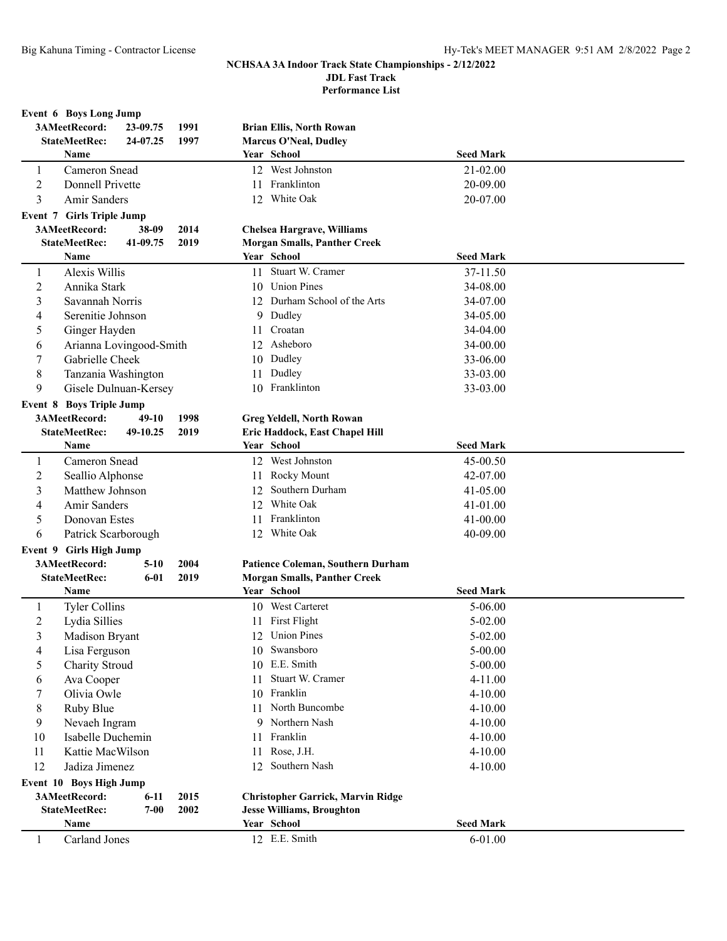**Performance List**

| Event 6 Boys Long Jump                                                          |  |
|---------------------------------------------------------------------------------|--|
| 3AMeetRecord:<br>1991<br>23-09.75<br><b>Brian Ellis, North Rowan</b>            |  |
| <b>StateMeetRec:</b><br>24-07.25<br>1997<br><b>Marcus O'Neal, Dudley</b>        |  |
| Name<br>Year School<br><b>Seed Mark</b>                                         |  |
| 12 West Johnston<br>Cameron Snead<br>21-02.00<br>1                              |  |
| 11 Franklinton<br>2<br>Donnell Privette<br>20-09.00                             |  |
| 3<br>Amir Sanders<br>12 White Oak<br>20-07.00                                   |  |
| <b>Event 7 Girls Triple Jump</b>                                                |  |
| 3AMeetRecord:<br>38-09<br>2014<br><b>Chelsea Hargrave, Williams</b>             |  |
| <b>StateMeetRec:</b><br>41-09.75<br>2019<br><b>Morgan Smalls, Panther Creek</b> |  |
| Year School<br><b>Seed Mark</b><br>Name                                         |  |
| 11 Stuart W. Cramer<br>Alexis Willis<br>37-11.50<br>1                           |  |
| $\overline{c}$<br>10 Union Pines<br>34-08.00<br>Annika Stark                    |  |
| 3<br>12 Durham School of the Arts<br>Savannah Norris<br>34-07.00                |  |
| 9 Dudley<br>Serenitie Johnson<br>34-05.00<br>4                                  |  |
| Croatan<br>5<br>Ginger Hayden<br>34-04.00<br>11                                 |  |
| Arianna Lovingood-Smith<br>12 Asheboro<br>34-00.00<br>6                         |  |
| Gabrielle Cheek<br>Dudley<br>7<br>33-06.00<br>10                                |  |
| 8<br>Dudley<br>Tanzania Washington<br>33-03.00<br>11                            |  |
| 9<br>10 Franklinton<br>33-03.00<br>Gisele Dulnuan-Kersey                        |  |
| <b>Event 8 Boys Triple Jump</b>                                                 |  |
| 3AMeetRecord:<br>$49-10$<br>1998<br><b>Greg Yeldell, North Rowan</b>            |  |
| <b>StateMeetRec:</b><br>49-10.25<br>2019<br>Eric Haddock, East Chapel Hill      |  |
| Year School<br><b>Seed Mark</b><br>Name                                         |  |
| 12 West Johnston<br>Cameron Snead<br>45-00.50<br>1                              |  |
| $\overline{2}$<br>Rocky Mount<br>Seallio Alphonse<br>42-07.00<br>11             |  |
| Southern Durham<br>3<br>Matthew Johnson<br>12<br>41-05.00                       |  |
| White Oak<br>4<br>Amir Sanders<br>12<br>41-01.00                                |  |
| Franklinton<br>5<br>41-00.00<br>Donovan Estes<br>11                             |  |
| 12 White Oak<br>6<br>Patrick Scarborough<br>40-09.00                            |  |
| Event 9 Girls High Jump                                                         |  |
| 3AMeetRecord:<br>Patience Coleman, Southern Durham<br>$5-10$<br>2004            |  |
| <b>StateMeetRec:</b><br>2019<br><b>Morgan Smalls, Panther Creek</b><br>$6 - 01$ |  |
| Year School<br><b>Seed Mark</b><br>Name                                         |  |
| 10 West Carteret<br><b>Tyler Collins</b><br>$5 - 06.00$<br>1                    |  |
| 11 First Flight<br>2<br>Lydia Sillies<br>$5 - 02.00$                            |  |
| 12 Union Pines<br>5-02.00<br><b>Madison Bryant</b>                              |  |
| 10 Swansboro<br>$5 - 00.00$<br>4<br>Lisa Ferguson                               |  |
| 10 E.E. Smith<br>Charity Stroud<br>5-00.00<br>5                                 |  |
| Stuart W. Cramer<br>Ava Cooper<br>4-11.00<br>11<br>6                            |  |
| 10 Franklin<br>Olivia Owle<br>4-10.00<br>7                                      |  |
| 11 North Buncombe<br>8<br>Ruby Blue<br>4-10.00                                  |  |
| 9 Northern Nash<br>9<br>Nevaeh Ingram<br>$4 - 10.00$                            |  |
| Isabelle Duchemin<br>Franklin<br>10<br>4-10.00<br>11                            |  |
| Rose, J.H.<br>11<br>Kattie MacWilson<br>4-10.00<br>11                           |  |
| 12<br>Jadiza Jimenez<br>12 Southern Nash<br>4-10.00                             |  |
| Event 10 Boys High Jump                                                         |  |
| 3AMeetRecord:<br><b>Christopher Garrick, Marvin Ridge</b><br>2015<br>$6-11$     |  |
| <b>StateMeetRec:</b><br>$7 - 00$<br>2002<br><b>Jesse Williams, Broughton</b>    |  |
| Year School<br><b>Seed Mark</b><br>Name                                         |  |
| 12 E.E. Smith<br>Carland Jones<br>$6 - 01.00$<br>1                              |  |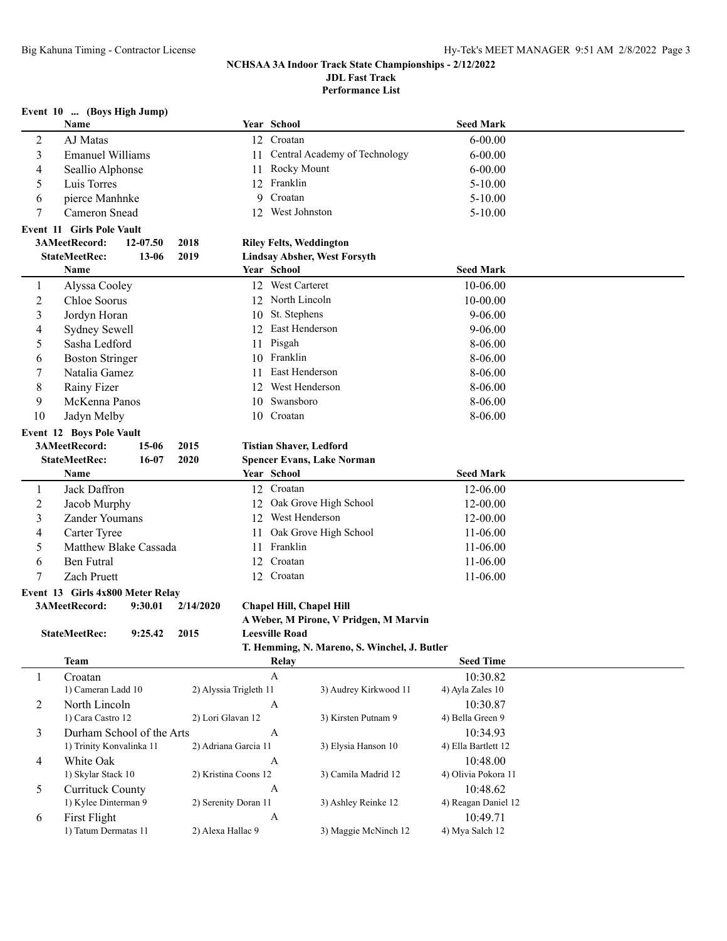**Performance List**

## **Event 10 ... (Boys High Jump)**

|                | <b>Name</b>                             |           |                        |    | Year School                         |                                              | <b>Seed Mark</b>    |  |
|----------------|-----------------------------------------|-----------|------------------------|----|-------------------------------------|----------------------------------------------|---------------------|--|
| $\overline{c}$ | AJ Matas                                |           |                        | 12 | Croatan                             |                                              | $6 - 00.00$         |  |
| 3              | <b>Emanuel Williams</b>                 |           |                        | 11 |                                     | Central Academy of Technology                | $6 - 00.00$         |  |
| $\overline{4}$ | Seallio Alphonse                        |           |                        | 11 | Rocky Mount                         |                                              | $6 - 00.00$         |  |
| 5              | Luis Torres                             |           |                        |    | 12 Franklin                         |                                              | $5 - 10.00$         |  |
| 6              | pierce Manhnke                          |           |                        | 9  | Croatan                             |                                              | $5 - 10.00$         |  |
| 7              | Cameron Snead                           |           |                        |    | 12 West Johnston                    |                                              | $5 - 10.00$         |  |
|                | <b>Event 11 Girls Pole Vault</b>        |           |                        |    |                                     |                                              |                     |  |
|                | 3AMeetRecord:                           | 12-07.50  | 2018                   |    | <b>Riley Felts, Weddington</b>      |                                              |                     |  |
|                | <b>StateMeetRec:</b>                    | $13 - 06$ | 2019                   |    | <b>Lindsay Absher, West Forsyth</b> |                                              |                     |  |
|                | Name                                    |           |                        |    | Year School                         |                                              | <b>Seed Mark</b>    |  |
| 1              | Alyssa Cooley                           |           |                        |    | 12 West Carteret                    |                                              | 10-06.00            |  |
| $\overline{2}$ | Chloe Soorus                            |           |                        |    | 12 North Lincoln                    |                                              | 10-00.00            |  |
| 3              | Jordyn Horan                            |           |                        | 10 | St. Stephens                        |                                              | $9 - 06.00$         |  |
| 4              | Sydney Sewell                           |           |                        |    | 12 East Henderson                   |                                              | $9 - 06.00$         |  |
| 5              | Sasha Ledford                           |           |                        |    | 11 Pisgah                           |                                              | 8-06.00             |  |
| 6              |                                         |           |                        |    | 10 Franklin                         |                                              | 8-06.00             |  |
|                | <b>Boston Stringer</b><br>Natalia Gamez |           |                        |    | 11 East Henderson                   |                                              | 8-06.00             |  |
| 7              |                                         |           |                        |    | 12 West Henderson                   |                                              |                     |  |
| 8              | Rainy Fizer                             |           |                        |    | 10 Swansboro                        |                                              | 8-06.00             |  |
| 9              | McKenna Panos                           |           |                        |    |                                     |                                              | 8-06.00             |  |
| 10             | Jadyn Melby                             |           |                        |    | 10 Croatan                          |                                              | 8-06.00             |  |
|                | <b>Event 12 Boys Pole Vault</b>         |           |                        |    |                                     |                                              |                     |  |
|                | 3AMeetRecord:                           | 15-06     | 2015                   |    | <b>Tistian Shaver, Ledford</b>      |                                              |                     |  |
|                | <b>StateMeetRec:</b>                    | $16 - 07$ | 2020                   |    | <b>Spencer Evans, Lake Norman</b>   |                                              |                     |  |
|                | Name                                    |           |                        |    | Year School                         |                                              | <b>Seed Mark</b>    |  |
| 1              | Jack Daffron                            |           |                        |    | 12 Croatan                          |                                              | 12-06.00            |  |
| $\overline{2}$ | Jacob Murphy                            |           |                        | 12 | Oak Grove High School               |                                              | 12-00.00            |  |
| 3              | <b>Zander Youmans</b>                   |           |                        | 12 | West Henderson                      |                                              | 12-00.00            |  |
| 4              | Carter Tyree                            |           |                        | 11 | Oak Grove High School               |                                              | 11-06.00            |  |
| 5              | Matthew Blake Cassada                   |           |                        |    | 11 Franklin                         |                                              | 11-06.00            |  |
| 6              | <b>Ben Futral</b>                       |           |                        | 12 | Croatan                             |                                              | 11-06.00            |  |
| 7              | Zach Pruett                             |           |                        | 12 | Croatan                             |                                              | 11-06.00            |  |
|                | Event 13 Girls 4x800 Meter Relay        |           |                        |    |                                     |                                              |                     |  |
|                | 3AMeetRecord:                           | 9:30.01   | 2/14/2020              |    | Chapel Hill, Chapel Hill            |                                              |                     |  |
|                |                                         |           |                        |    |                                     | A Weber, M Pirone, V Pridgen, M Marvin       |                     |  |
|                | <b>StateMeetRec:</b>                    | 9:25.42   | 2015                   |    | <b>Leesville Road</b>               |                                              |                     |  |
|                |                                         |           |                        |    |                                     | T. Hemming, N. Mareno, S. Winchel, J. Butler |                     |  |
|                | <b>Team</b>                             |           |                        |    | Relay                               |                                              | <b>Seed Time</b>    |  |
| 1              | Croatan                                 |           |                        |    | A                                   |                                              | 10:30.82            |  |
|                | 1) Cameran Ladd 10                      |           | 2) Alyssia Trigleth 11 |    |                                     | 3) Audrey Kirkwood 11                        | 4) Ayla Zales 10    |  |
| 2              | North Lincoln                           |           |                        |    | A                                   |                                              | 10:30.87            |  |
|                | 1) Cara Castro 12                       |           | 2) Lori Glavan 12      |    |                                     | 3) Kirsten Putnam 9                          | 4) Bella Green 9    |  |
| 3              | Durham School of the Arts               |           |                        |    | $\boldsymbol{A}$                    |                                              | 10:34.93            |  |
|                | 1) Trinity Konvalinka 11                |           | 2) Adriana Garcia 11   |    |                                     | 3) Elysia Hanson 10                          | 4) Ella Bartlett 12 |  |
| 4              | White Oak                               |           |                        |    | $\boldsymbol{A}$                    |                                              | 10:48.00            |  |
|                | 1) Skylar Stack 10                      |           | 2) Kristina Coons 12   |    |                                     | 3) Camila Madrid 12                          | 4) Olivia Pokora 11 |  |
| 5              | <b>Currituck County</b>                 |           |                        |    | $\mathbf{A}$                        |                                              | 10:48.62            |  |
|                | 1) Kylee Dinterman 9                    |           | 2) Serenity Doran 11   |    |                                     | 3) Ashley Reinke 12                          | 4) Reagan Daniel 12 |  |
| 6              | First Flight                            |           |                        |    | $\boldsymbol{A}$                    |                                              | 10:49.71            |  |
|                | 1) Tatum Dermatas 11                    |           | 2) Alexa Hallac 9      |    |                                     | 3) Maggie McNinch 12                         | 4) Mya Salch 12     |  |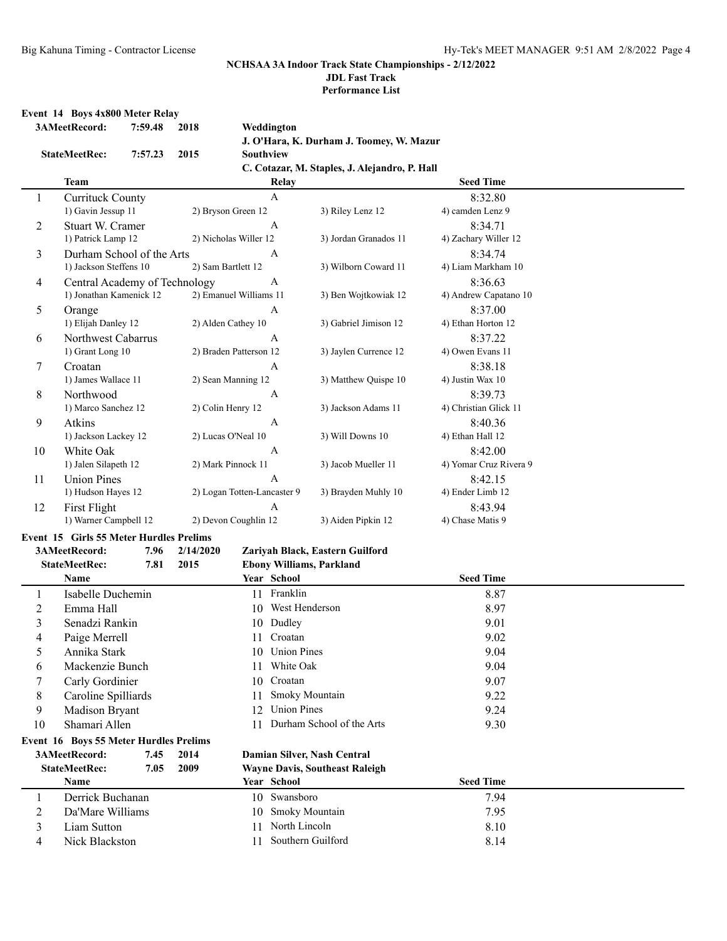# **NCHSAA 3A Indoor Track State Championships - 2/12/2022**

**JDL Fast Track**

**Performance List**

## **Event 14 Boys 4x800 Meter Relay**

|    | 3AMeetRecord:                           | 7:59.48 | 2018               | Weddington                  |                                               |                        |  |
|----|-----------------------------------------|---------|--------------------|-----------------------------|-----------------------------------------------|------------------------|--|
|    |                                         |         |                    |                             | J. O'Hara, K. Durham J. Toomey, W. Mazur      |                        |  |
|    | <b>StateMeetRec:</b>                    | 7:57.23 | 2015               | Southview                   |                                               |                        |  |
|    |                                         |         |                    |                             | C. Cotazar, M. Staples, J. Alejandro, P. Hall |                        |  |
|    | Team                                    |         |                    | Relay                       |                                               | <b>Seed Time</b>       |  |
| 1  | <b>Currituck County</b>                 |         |                    | $\mathbf{A}$                |                                               | 8:32.80                |  |
|    | 1) Gavin Jessup 11                      |         | 2) Bryson Green 12 |                             | 3) Riley Lenz 12                              | 4) camden Lenz 9       |  |
| 2  | Stuart W. Cramer                        |         |                    | A                           |                                               | 8:34.71                |  |
|    | 1) Patrick Lamp 12                      |         |                    | 2) Nicholas Willer 12       | 3) Jordan Granados 11                         | 4) Zachary Willer 12   |  |
| 3  | Durham School of the Arts               |         |                    | A                           |                                               | 8:34.74                |  |
|    | 1) Jackson Steffens 10                  |         | 2) Sam Bartlett 12 |                             | 3) Wilborn Coward 11                          | 4) Liam Markham 10     |  |
| 4  | Central Academy of Technology           |         |                    | $\boldsymbol{A}$            |                                               | 8:36.63                |  |
|    | 1) Jonathan Kamenick 12                 |         |                    | 2) Emanuel Williams 11      | 3) Ben Wojtkowiak 12                          | 4) Andrew Capatano 10  |  |
| 5  | Orange                                  |         |                    | $\mathbf{A}$                |                                               | 8:37.00                |  |
|    | 1) Elijah Danley 12                     |         | 2) Alden Cathey 10 |                             | 3) Gabriel Jimison 12                         | 4) Ethan Horton 12     |  |
| 6  | Northwest Cabarrus                      |         |                    | A                           |                                               | 8:37.22                |  |
|    | 1) Grant Long 10                        |         |                    | 2) Braden Patterson 12      | 3) Jaylen Currence 12                         | 4) Owen Evans 11       |  |
| 7  | Croatan                                 |         |                    | A                           |                                               | 8:38.18                |  |
|    | 1) James Wallace 11                     |         |                    | 2) Sean Manning 12          | 3) Matthew Quispe 10                          | 4) Justin Wax 10       |  |
| 8  | Northwood                               |         |                    | $\boldsymbol{A}$            |                                               | 8:39.73                |  |
|    | 1) Marco Sanchez 12                     |         | 2) Colin Henry 12  |                             | 3) Jackson Adams 11                           | 4) Christian Glick 11  |  |
| 9  | Atkins                                  |         |                    | A                           |                                               | 8:40.36                |  |
|    | 1) Jackson Lackey 12                    |         | 2) Lucas O'Neal 10 |                             | 3) Will Downs 10                              | 4) Ethan Hall 12       |  |
| 10 | White Oak                               |         |                    | A                           |                                               | 8:42.00                |  |
|    | 1) Jalen Silapeth 12                    |         | 2) Mark Pinnock 11 |                             | 3) Jacob Mueller 11                           | 4) Yomar Cruz Rivera 9 |  |
| 11 | <b>Union Pines</b>                      |         |                    | A                           |                                               | 8:42.15                |  |
|    | 1) Hudson Hayes 12                      |         |                    | 2) Logan Totten-Lancaster 9 | 3) Brayden Muhly 10                           | 4) Ender Limb 12       |  |
| 12 | First Flight                            |         |                    | A                           |                                               | 8:43.94                |  |
|    | 1) Warner Campbell 12                   |         |                    | 2) Devon Coughlin 12        | 3) Aiden Pipkin 12                            | 4) Chase Matis 9       |  |
|    | Event 15 Girls 55 Meter Hurdles Prelims |         |                    |                             |                                               |                        |  |
|    | 3AMeetRecord:                           | 7.96    | 2/14/2020          |                             | Zariyah Black, Eastern Guilford               |                        |  |
|    | <b>StateMeetRec:</b>                    | 7.81    | 2015               |                             | <b>Ebony Williams, Parkland</b>               |                        |  |
|    | Name                                    |         |                    | Year School                 |                                               | <b>Seed Time</b>       |  |
| 1  | Isabelle Duchemin                       |         |                    | 11 Franklin                 |                                               | 8.87                   |  |
| 2  | Emma Hall                               |         |                    | 10 West Henderson           |                                               | 8.97                   |  |
| 3  | Senadzi Rankin                          |         |                    | 10 Dudley                   |                                               | 9.01                   |  |
| 4  | Paige Merrell                           |         |                    | 11 Croatan                  |                                               | 9.02                   |  |
| 5  | Annika Stark                            |         |                    | 10 Union Pines              |                                               | 9.04                   |  |
| 6  | Mackenzie Bunch                         |         |                    | 11 White Oak                |                                               | 9.04                   |  |
| 7  | Carly Gordinier                         |         |                    | Croatan<br>10               |                                               | 9.07                   |  |
| 8  | Caroline Spilliards                     |         |                    | 11                          | Smoky Mountain                                | 9.22                   |  |
| 9  | Madison Bryant                          |         |                    | <b>Union Pines</b><br>12    |                                               | 9.24                   |  |
| 10 | Shamari Allen                           |         |                    | 11                          | Durham School of the Arts                     | 9.30                   |  |
|    | Event 16 Boys 55 Meter Hurdles Prelims  |         |                    |                             |                                               |                        |  |
|    | 3AMeetRecord:                           | 7.45    | 2014               |                             | Damian Silver, Nash Central                   |                        |  |
|    | <b>StateMeetRec:</b>                    | 7.05    | 2009               |                             | <b>Wayne Davis, Southeast Raleigh</b>         |                        |  |
|    | Name                                    |         |                    | Year School                 |                                               | <b>Seed Time</b>       |  |
| 1  | Derrick Buchanan                        |         |                    | 10 Swansboro                |                                               | 7.94                   |  |
| 2  | Da'Mare Williams                        |         |                    | 10                          | <b>Smoky Mountain</b>                         | 7.95                   |  |
| 3  | Liam Sutton                             |         |                    | 11 North Lincoln            |                                               | 8.10                   |  |
| 4  | Nick Blackston                          |         |                    | 11                          | Southern Guilford                             | 8.14                   |  |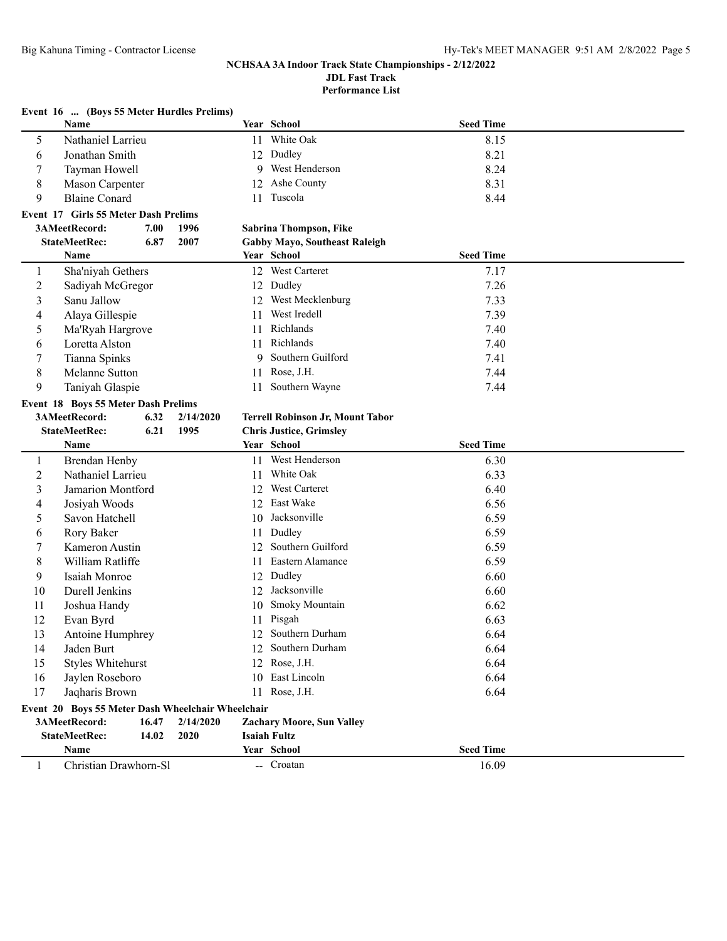**Performance List**

|    | Event 16  (Boys 55 Meter Hurdles Prelims)         |           |    |                                         |                  |  |
|----|---------------------------------------------------|-----------|----|-----------------------------------------|------------------|--|
|    | Name                                              |           |    | Year School                             | <b>Seed Time</b> |  |
| 5  | Nathaniel Larrieu                                 |           |    | 11 White Oak                            | 8.15             |  |
| 6  | Jonathan Smith                                    |           |    | 12 Dudley                               | 8.21             |  |
| 7  | Tayman Howell                                     |           |    | 9 West Henderson                        | 8.24             |  |
| 8  | Mason Carpenter                                   |           |    | 12 Ashe County                          | 8.31             |  |
| 9  | <b>Blaine Conard</b>                              |           | 11 | Tuscola                                 | 8.44             |  |
|    | Event 17 Girls 55 Meter Dash Prelims              |           |    |                                         |                  |  |
|    | 3AMeetRecord:<br>7.00                             | 1996      |    | Sabrina Thompson, Fike                  |                  |  |
|    | 6.87<br><b>StateMeetRec:</b>                      | 2007      |    | <b>Gabby Mayo, Southeast Raleigh</b>    |                  |  |
|    | Name                                              |           |    | Year School                             | <b>Seed Time</b> |  |
| 1  | Sha'niyah Gethers                                 |           |    | 12 West Carteret                        | 7.17             |  |
| 2  | Sadiyah McGregor                                  |           |    | 12 Dudley                               | 7.26             |  |
| 3  | Sanu Jallow                                       |           |    | 12 West Mecklenburg                     | 7.33             |  |
| 4  | Alaya Gillespie                                   |           | 11 | West Iredell                            | 7.39             |  |
| 5  | Ma'Ryah Hargrove                                  |           | 11 | Richlands                               | 7.40             |  |
| 6  | Loretta Alston                                    |           | 11 | Richlands                               | 7.40             |  |
| 7  | Tianna Spinks                                     |           | 9  | Southern Guilford                       | 7.41             |  |
| 8  | Melanne Sutton                                    |           | 11 | Rose, J.H.                              | 7.44             |  |
| 9  | Taniyah Glaspie                                   |           | 11 | Southern Wayne                          | 7.44             |  |
|    | Event 18 Boys 55 Meter Dash Prelims               |           |    |                                         |                  |  |
|    | 3AMeetRecord:<br>6.32                             | 2/14/2020 |    | <b>Terrell Robinson Jr, Mount Tabor</b> |                  |  |
|    | 6.21<br><b>StateMeetRec:</b>                      | 1995      |    | <b>Chris Justice, Grimsley</b>          |                  |  |
|    |                                                   |           |    |                                         |                  |  |
|    | Name                                              |           |    | Year School                             | <b>Seed Time</b> |  |
| 1  | Brendan Henby                                     |           |    | 11 West Henderson                       | 6.30             |  |
| 2  | Nathaniel Larrieu                                 |           | 11 | White Oak                               | 6.33             |  |
| 3  | Jamarion Montford                                 |           |    | 12 West Carteret                        | 6.40             |  |
| 4  | Josiyah Woods                                     |           |    | 12 East Wake                            | 6.56             |  |
| 5  | Savon Hatchell                                    |           |    | 10 Jacksonville                         | 6.59             |  |
| 6  | Rory Baker                                        |           | 11 | Dudley                                  | 6.59             |  |
| 7  | Kameron Austin                                    |           |    | 12 Southern Guilford                    | 6.59             |  |
| 8  | William Ratliffe                                  |           | 11 | Eastern Alamance                        | 6.59             |  |
| 9  | Isaiah Monroe                                     |           | 12 | Dudley                                  | 6.60             |  |
| 10 | Durell Jenkins                                    |           | 12 | Jacksonville                            | 6.60             |  |
| 11 | Joshua Handy                                      |           | 10 | Smoky Mountain                          | 6.62             |  |
| 12 | Evan Byrd                                         |           |    | 11 Pisgah                               | 6.63             |  |
| 13 | Antoine Humphrey                                  |           |    | 12 Southern Durham                      | 6.64             |  |
| 14 | Jaden Burt                                        |           |    | 12 Southern Durham                      | 6.64             |  |
| 15 | <b>Styles Whitehurst</b>                          |           |    | 12 Rose, J.H.                           | 6.64             |  |
| 16 | Jaylen Roseboro                                   |           |    | 10 East Lincoln                         | 6.64             |  |
| 17 | Jaqharis Brown                                    |           |    | 11 Rose, J.H.                           | 6.64             |  |
|    | Event 20 Boys 55 Meter Dash Wheelchair Wheelchair |           |    |                                         |                  |  |
|    | 3AMeetRecord:<br>16.47                            | 2/14/2020 |    | <b>Zachary Moore, Sun Valley</b>        |                  |  |
|    | <b>StateMeetRec:</b><br>14.02<br>Name             | 2020      |    | <b>Isaiah Fultz</b><br>Year School      | <b>Seed Time</b> |  |

1 Christian Drawhorn-Sl -- Croatan 16.09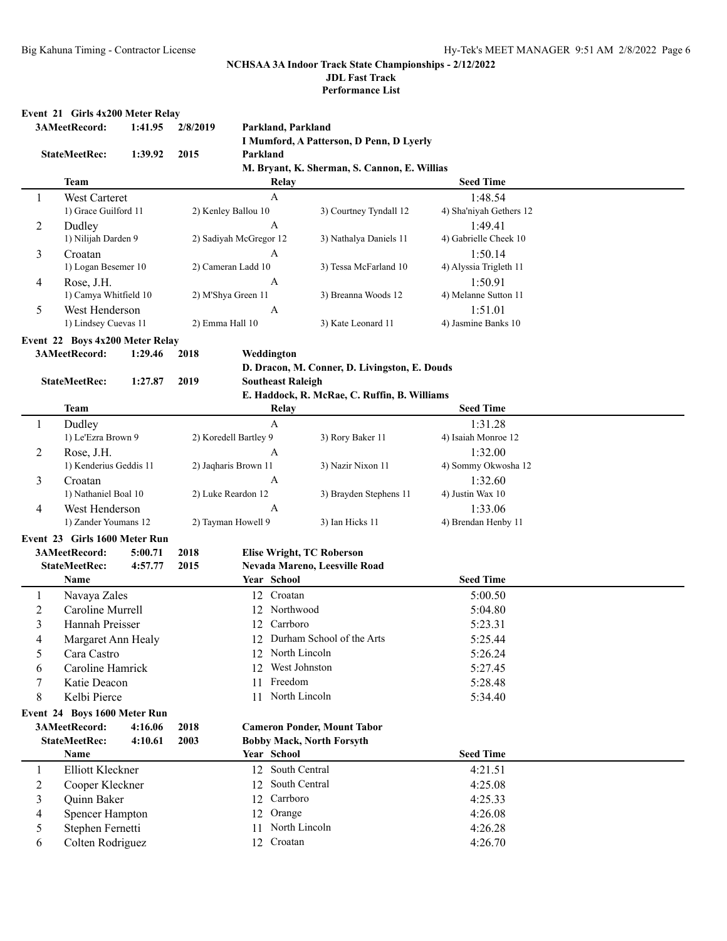**Performance List**

#### **Event 21 Girls 4x200 Meter Relay**

|                | 3AMeetRecord:                   | 1:41.95 | 2/8/2019           |                        | Parkland, Parkland                                    |                        |                         |  |
|----------------|---------------------------------|---------|--------------------|------------------------|-------------------------------------------------------|------------------------|-------------------------|--|
|                |                                 |         |                    |                        | I Mumford, A Patterson, D Penn, D Lyerly              |                        |                         |  |
|                | <b>StateMeetRec:</b>            | 1:39.92 | 2015               | Parkland               |                                                       |                        |                         |  |
|                |                                 |         |                    |                        | M. Bryant, K. Sherman, S. Cannon, E. Willias          |                        |                         |  |
|                | <b>Team</b>                     |         |                    |                        | Relay                                                 |                        | <b>Seed Time</b>        |  |
| 1              | West Carteret                   |         |                    | $\mathbf{A}$           |                                                       |                        | 1:48.54                 |  |
|                | 1) Grace Guilford 11            |         |                    | 2) Kenley Ballou 10    |                                                       | 3) Courtney Tyndall 12 | 4) Sha'niyah Gethers 12 |  |
| 2              | Dudley                          |         |                    | А                      |                                                       |                        | 1:49.41                 |  |
|                | 1) Nilijah Darden 9             |         |                    | 2) Sadiyah McGregor 12 |                                                       | 3) Nathalya Daniels 11 | 4) Gabrielle Cheek 10   |  |
| 3              | Croatan                         |         |                    | A                      |                                                       |                        | 1:50.14                 |  |
|                | 1) Logan Besemer 10             |         |                    | 2) Cameran Ladd 10     |                                                       | 3) Tessa McFarland 10  | 4) Alyssia Trigleth 11  |  |
| 4              | Rose, J.H.                      |         |                    | A                      |                                                       |                        | 1:50.91                 |  |
|                | 1) Camya Whitfield 10           |         |                    | 2) M'Shya Green 11     |                                                       | 3) Breanna Woods 12    | 4) Melanne Sutton 11    |  |
| 5              | West Henderson                  |         |                    | Α                      |                                                       |                        | 1:51.01                 |  |
|                | 1) Lindsey Cuevas 11            |         |                    | 2) Emma Hall 10        |                                                       | 3) Kate Leonard 11     | 4) Jasmine Banks 10     |  |
|                | Event 22 Boys 4x200 Meter Relay |         |                    |                        |                                                       |                        |                         |  |
|                | 3AMeetRecord:                   | 1:29.46 | 2018               | Weddington             |                                                       |                        |                         |  |
|                |                                 |         |                    |                        | D. Dracon, M. Conner, D. Livingston, E. Douds         |                        |                         |  |
|                | <b>StateMeetRec:</b>            | 1:27.87 | 2019               |                        | <b>Southeast Raleigh</b>                              |                        |                         |  |
|                | <b>Team</b>                     |         |                    |                        | E. Haddock, R. McRae, C. Ruffin, B. Williams<br>Relay |                        | <b>Seed Time</b>        |  |
| 1              | Dudley                          |         |                    | A                      |                                                       |                        | 1:31.28                 |  |
|                | 1) Le'Ezra Brown 9              |         |                    | 2) Koredell Bartley 9  |                                                       | 3) Rory Baker 11       | 4) Isaiah Monroe 12     |  |
| 2              | Rose, J.H.                      |         |                    | A                      |                                                       |                        | 1:32.00                 |  |
|                | 1) Kenderius Geddis 11          |         |                    | 2) Jaqharis Brown 11   |                                                       | 3) Nazir Nixon 11      | 4) Sommy Okwosha 12     |  |
| 3              | Croatan                         |         |                    | A                      |                                                       |                        | 1:32.60                 |  |
|                | 1) Nathaniel Boal 10            |         |                    | 2) Luke Reardon 12     |                                                       | 3) Brayden Stephens 11 | 4) Justin Wax 10        |  |
| 4              | West Henderson                  |         | A                  |                        |                                                       |                        | 1:33.06                 |  |
|                | 1) Zander Youmans 12            |         | 2) Tayman Howell 9 |                        | 3) Ian Hicks 11                                       |                        | 4) Brendan Henby 11     |  |
|                | Event 23 Girls 1600 Meter Run   |         |                    |                        |                                                       |                        |                         |  |
|                | 3AMeetRecord:                   | 5:00.71 | 2018               |                        | <b>Elise Wright, TC Roberson</b>                      |                        |                         |  |
|                | <b>StateMeetRec:</b>            | 4:57.77 | 2015               |                        | Nevada Mareno, Leesville Road                         |                        |                         |  |
|                | Name                            |         |                    | Year School            |                                                       |                        | <b>Seed Time</b>        |  |
| 1              | Navaya Zales                    |         |                    |                        | 12 Croatan                                            |                        | 5:00.50                 |  |
| $\overline{2}$ | Caroline Murrell                |         |                    |                        | 12 Northwood                                          |                        | 5:04.80                 |  |
| 3              | Hannah Preisser                 |         |                    |                        | 12 Carrboro                                           |                        | 5:23.31                 |  |
| 4              | Margaret Ann Healy              |         |                    |                        | 12 Durham School of the Arts                          |                        | 5:25.44                 |  |
| 5              | Cara Castro                     |         |                    |                        | 12 North Lincoln                                      |                        | 5:26.24                 |  |
| 6              | Caroline Hamrick                |         |                    |                        | 12 West Johnston                                      |                        | 5:27.45                 |  |
| 7              | Katie Deacon                    |         |                    |                        | 11 Freedom                                            |                        | 5:28.48                 |  |
| 8              | Kelbi Pierce                    |         |                    |                        | 11 North Lincoln                                      |                        | 5:34.40                 |  |
|                | Event 24 Boys 1600 Meter Run    |         |                    |                        |                                                       |                        |                         |  |
|                | 3AMeetRecord:                   | 4:16.06 | 2018               |                        | <b>Cameron Ponder, Mount Tabor</b>                    |                        |                         |  |
|                | <b>StateMeetRec:</b>            | 4:10.61 | 2003               |                        | <b>Bobby Mack, North Forsyth</b>                      |                        |                         |  |
|                | Name                            |         |                    | Year School            |                                                       |                        | <b>Seed Time</b>        |  |
| $\mathbf{1}$   | Elliott Kleckner                |         |                    |                        | 12 South Central                                      |                        | 4:21.51                 |  |
| $\overline{c}$ | Cooper Kleckner                 |         |                    |                        | 12 South Central                                      |                        | 4:25.08                 |  |
| 3              | Quinn Baker                     |         |                    |                        | 12 Carrboro                                           |                        | 4:25.33                 |  |
| 4              | <b>Spencer Hampton</b>          |         |                    | 12                     | Orange                                                |                        | 4:26.08                 |  |
| 5              | Stephen Fernetti                |         |                    | 11                     | North Lincoln                                         |                        | 4:26.28                 |  |
| 6              | Colten Rodriguez                |         |                    |                        | 12 Croatan                                            |                        | 4:26.70                 |  |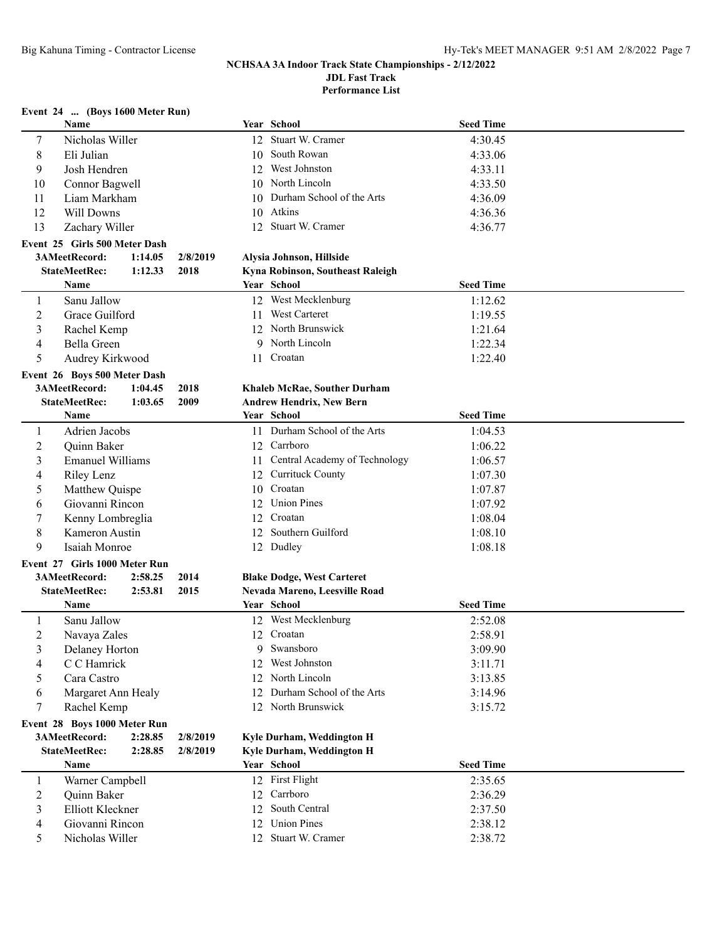**Performance List**

## **Event 24 ... (Boys 1600 Meter Run)**

|                | Name                                          |              |    | Year School                                    | <b>Seed Time</b> |  |
|----------------|-----------------------------------------------|--------------|----|------------------------------------------------|------------------|--|
| 7              | Nicholas Willer                               |              |    | 12 Stuart W. Cramer                            | 4:30.45          |  |
| 8              | Eli Julian                                    |              |    | 10 South Rowan                                 | 4:33.06          |  |
| 9              | Josh Hendren                                  |              |    | 12 West Johnston                               | 4:33.11          |  |
| 10             | Connor Bagwell                                |              |    | 10 North Lincoln                               | 4:33.50          |  |
| 11             | Liam Markham                                  |              | 10 | Durham School of the Arts                      | 4:36.09          |  |
| 12             | Will Downs                                    |              | 10 | Atkins                                         | 4:36.36          |  |
| 13             | Zachary Willer                                |              |    | 12 Stuart W. Cramer                            | 4:36.77          |  |
|                | Event 25 Girls 500 Meter Dash                 |              |    |                                                |                  |  |
|                | 3AMeetRecord:<br>1:14.05                      | 2/8/2019     |    | Alysia Johnson, Hillside                       |                  |  |
|                | <b>StateMeetRec:</b><br>1:12.33               | 2018         |    | Kyna Robinson, Southeast Raleigh               |                  |  |
|                | Name                                          |              |    | Year School                                    | <b>Seed Time</b> |  |
| 1              | Sanu Jallow                                   |              |    | 12 West Mecklenburg                            | 1:12.62          |  |
| $\overline{c}$ | Grace Guilford                                |              |    | 11 West Carteret                               | 1:19.55          |  |
| 3              | Rachel Kemp                                   |              |    | 12 North Brunswick                             | 1:21.64          |  |
| 4              | Bella Green                                   |              |    | 9 North Lincoln                                | 1:22.34          |  |
| 5              | Audrey Kirkwood                               |              |    | 11 Croatan                                     | 1:22.40          |  |
|                |                                               |              |    |                                                |                  |  |
|                | Event 26 Boys 500 Meter Dash<br>3AMeetRecord: |              |    |                                                |                  |  |
|                | 1:04.45<br><b>StateMeetRec:</b><br>1:03.65    | 2018<br>2009 |    | <b>Khaleb McRae, Souther Durham</b>            |                  |  |
|                | Name                                          |              |    | <b>Andrew Hendrix, New Bern</b><br>Year School | <b>Seed Time</b> |  |
|                |                                               |              |    | 11 Durham School of the Arts                   |                  |  |
| 1              | Adrien Jacobs                                 |              |    | 12 Carrboro                                    | 1:04.53          |  |
| $\overline{c}$ | Quinn Baker                                   |              |    |                                                | 1:06.22          |  |
| 3              | <b>Emanuel Williams</b>                       |              |    | 11 Central Academy of Technology               | 1:06.57          |  |
| 4              | Riley Lenz                                    |              |    | 12 Currituck County                            | 1:07.30          |  |
| 5              | Matthew Quispe                                |              |    | 10 Croatan                                     | 1:07.87          |  |
| 6              | Giovanni Rincon                               |              |    | 12 Union Pines                                 | 1:07.92          |  |
| 7              | Kenny Lombreglia                              |              |    | 12 Croatan                                     | 1:08.04          |  |
| 8              | Kameron Austin                                |              |    | 12 Southern Guilford                           | 1:08.10          |  |
| 9              | Isaiah Monroe                                 |              |    | 12 Dudley                                      | 1:08.18          |  |
|                | Event 27 Girls 1000 Meter Run                 |              |    |                                                |                  |  |
|                | 3AMeetRecord:<br>2:58.25                      | 2014         |    | <b>Blake Dodge, West Carteret</b>              |                  |  |
|                | <b>StateMeetRec:</b><br>2:53.81               | 2015         |    | Nevada Mareno, Leesville Road                  |                  |  |
|                | Name                                          |              |    | Year School                                    | <b>Seed Time</b> |  |
| 1              | Sanu Jallow                                   |              |    | 12 West Mecklenburg                            | 2:52.08          |  |
| 2              | Navaya Zales                                  |              |    | 12 Croatan                                     | 2:58.91          |  |
|                | Delaney Horton                                |              |    | 9 Swansboro                                    | 3:09.90          |  |
| 4              | C C Hamrick                                   |              |    | 12 West Johnston                               | 3:11.71          |  |
| 5              | Cara Castro                                   |              |    | 12 North Lincoln                               | 3:13.85          |  |
| 6              | Margaret Ann Healy                            |              |    | 12 Durham School of the Arts                   | 3:14.96          |  |
| 7              | Rachel Kemp                                   |              |    | 12 North Brunswick                             | 3:15.72          |  |
|                | Event 28 Boys 1000 Meter Run                  |              |    |                                                |                  |  |
|                | 3AMeetRecord:<br>2:28.85                      | 2/8/2019     |    | Kyle Durham, Weddington H                      |                  |  |
|                | <b>StateMeetRec:</b><br>2:28.85               | 2/8/2019     |    | Kyle Durham, Weddington H                      |                  |  |
|                | Name                                          |              |    | Year School                                    | <b>Seed Time</b> |  |
| 1              | Warner Campbell                               |              |    | 12 First Flight                                | 2:35.65          |  |
| 2              | Quinn Baker                                   |              |    | 12 Carrboro                                    | 2:36.29          |  |
| 3              | Elliott Kleckner                              |              |    | 12 South Central                               | 2:37.50          |  |
| 4              | Giovanni Rincon                               |              |    | 12 Union Pines                                 | 2:38.12          |  |
| 5              | Nicholas Willer                               |              |    | 12 Stuart W. Cramer                            | 2:38.72          |  |
|                |                                               |              |    |                                                |                  |  |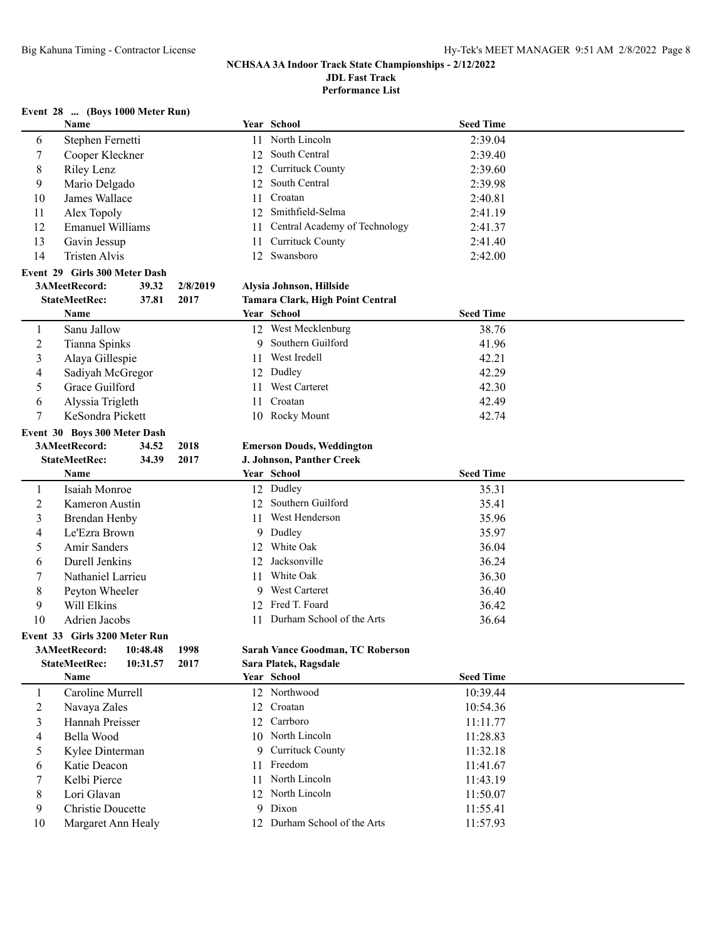**Performance List**

## **Event 28 ... (Boys 1000 Meter Run)**

|                | Name                          |          |          |    | Year School                      | <b>Seed Time</b> |  |
|----------------|-------------------------------|----------|----------|----|----------------------------------|------------------|--|
| 6              | Stephen Fernetti              |          |          |    | 11 North Lincoln                 | 2:39.04          |  |
| 7              | Cooper Kleckner               |          |          | 12 | South Central                    | 2:39.40          |  |
| $\,8\,$        | Riley Lenz                    |          |          | 12 | Currituck County                 | 2:39.60          |  |
| 9              | Mario Delgado                 |          |          | 12 | South Central                    | 2:39.98          |  |
| 10             | James Wallace                 |          |          | 11 | Croatan                          | 2:40.81          |  |
| 11             | Alex Topoly                   |          |          | 12 | Smithfield-Selma                 | 2:41.19          |  |
| 12             | <b>Emanuel Williams</b>       |          |          | 11 | Central Academy of Technology    | 2:41.37          |  |
| 13             | Gavin Jessup                  |          |          | 11 | <b>Currituck County</b>          | 2:41.40          |  |
| 14             | Tristen Alvis                 |          |          |    | 12 Swansboro                     | 2:42.00          |  |
|                |                               |          |          |    |                                  |                  |  |
|                | Event 29 Girls 300 Meter Dash |          |          |    |                                  |                  |  |
|                | 3AMeetRecord:                 | 39.32    | 2/8/2019 |    | Alysia Johnson, Hillside         |                  |  |
|                | <b>StateMeetRec:</b>          | 37.81    | 2017     |    | Tamara Clark, High Point Central |                  |  |
|                | Name                          |          |          |    | Year School                      | <b>Seed Time</b> |  |
| 1              | Sanu Jallow                   |          |          |    | 12 West Mecklenburg              | 38.76            |  |
| $\overline{c}$ | Tianna Spinks                 |          |          |    | 9 Southern Guilford              | 41.96            |  |
| 3              | Alaya Gillespie               |          |          | 11 | West Iredell                     | 42.21            |  |
| 4              | Sadiyah McGregor              |          |          | 12 | Dudley                           | 42.29            |  |
| 5              | Grace Guilford                |          |          | 11 | West Carteret                    | 42.30            |  |
| 6              | Alyssia Trigleth              |          |          | 11 | Croatan                          | 42.49            |  |
| 7              | KeSondra Pickett              |          |          |    | 10 Rocky Mount                   | 42.74            |  |
|                | Event 30 Boys 300 Meter Dash  |          |          |    |                                  |                  |  |
|                | 3AMeetRecord:                 | 34.52    | 2018     |    | <b>Emerson Douds, Weddington</b> |                  |  |
|                | <b>StateMeetRec:</b>          | 34.39    | 2017     |    | J. Johnson, Panther Creek        |                  |  |
|                | Name                          |          |          |    | Year School                      | <b>Seed Time</b> |  |
| $\mathbf{1}$   | Isaiah Monroe                 |          |          |    | 12 Dudley                        | 35.31            |  |
| $\overline{c}$ | Kameron Austin                |          |          |    | 12 Southern Guilford             | 35.41            |  |
| 3              | <b>Brendan Henby</b>          |          |          | 11 | West Henderson                   | 35.96            |  |
| $\overline{4}$ | Le'Ezra Brown                 |          |          | 9  | Dudley                           | 35.97            |  |
| 5              | Amir Sanders                  |          |          |    | 12 White Oak                     | 36.04            |  |
| 6              | Durell Jenkins                |          |          | 12 | Jacksonville                     | 36.24            |  |
| 7              | Nathaniel Larrieu             |          |          | 11 | White Oak                        | 36.30            |  |
|                |                               |          |          |    | West Carteret                    |                  |  |
| $\,8\,$        | Peyton Wheeler                |          |          | 9  | 12 Fred T. Foard                 | 36.40            |  |
| 9              | Will Elkins                   |          |          |    |                                  | 36.42            |  |
| 10             | Adrien Jacobs                 |          |          |    | 11 Durham School of the Arts     | 36.64            |  |
|                | Event 33 Girls 3200 Meter Run |          |          |    |                                  |                  |  |
|                | 3AMeetRecord: 10:48.48        |          | 1998     |    | Sarah Vance Goodman, TC Roberson |                  |  |
|                | <b>StateMeetRec:</b>          | 10:31.57 | 2017     |    | Sara Platek, Ragsdale            |                  |  |
|                | Name                          |          |          |    | Year School                      | <b>Seed Time</b> |  |
| $\mathbf{1}$   | Caroline Murrell              |          |          |    | 12 Northwood                     | 10:39.44         |  |
| $\overline{c}$ | Navaya Zales                  |          |          |    | 12 Croatan                       | 10:54.36         |  |
| 3              | Hannah Preisser               |          |          |    | 12 Carrboro                      | 11:11.77         |  |
| 4              | Bella Wood                    |          |          |    | 10 North Lincoln                 | 11:28.83         |  |
| 5              | Kylee Dinterman               |          |          | 9  | <b>Currituck County</b>          | 11:32.18         |  |
| 6              | Katie Deacon                  |          |          | 11 | Freedom                          | 11:41.67         |  |
| 7              | Kelbi Pierce                  |          |          |    | 11 North Lincoln                 | 11:43.19         |  |
|                |                               |          |          |    |                                  |                  |  |
| 8              | Lori Glavan                   |          |          |    | 12 North Lincoln                 | 11:50.07         |  |
| 9              | Christie Doucette             |          |          |    | 9 Dixon                          | 11:55.41         |  |

10 Margaret Ann Healy 12 Durham School of the Arts 11:57.93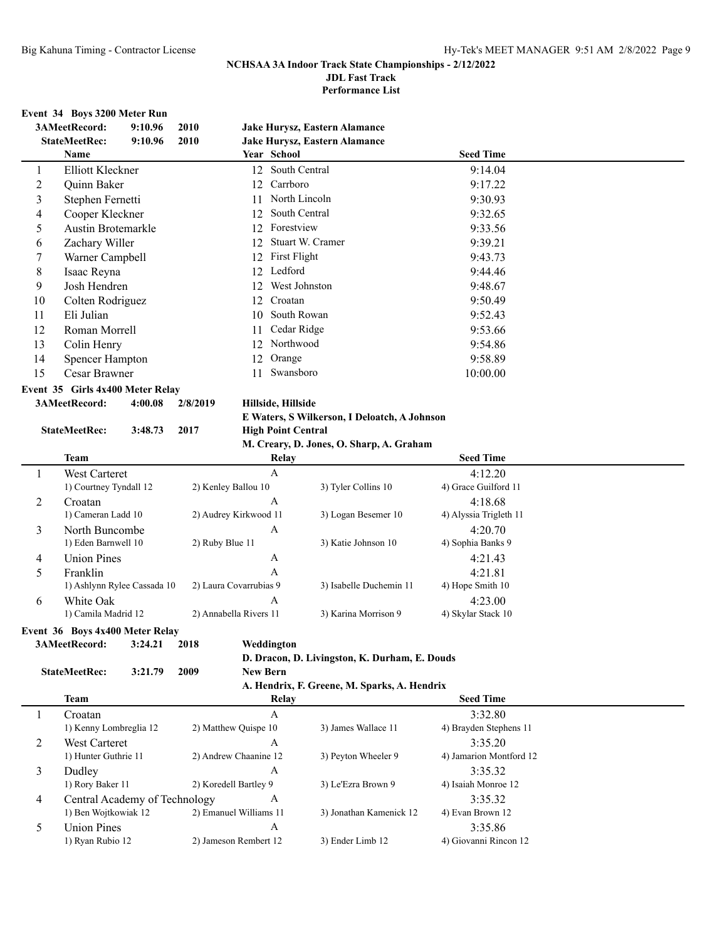**Performance List**

#### **Event 34 Boys 3200 Meter Run**

|    | 3AMeetRecord:<br>9:10.96                                   | 2010        | <b>Jake Hurysz, Eastern Alamance</b> |                  |  |
|----|------------------------------------------------------------|-------------|--------------------------------------|------------------|--|
|    | <b>StateMeetRec:</b><br>9:10.96                            | <b>2010</b> | Jake Hurysz, Eastern Alamance        |                  |  |
|    | Name                                                       |             | Year School                          | <b>Seed Time</b> |  |
| 1  | Elliott Kleckner                                           |             | South Central<br>12                  | 9:14.04          |  |
|    | Quinn Baker                                                |             | Carrboro<br>12                       | 9:17.22          |  |
| 3  | Stephen Fernetti                                           |             | North Lincoln<br>11                  | 9:30.93          |  |
| 4  | Cooper Kleckner                                            |             | South Central<br>12                  | 9:32.65          |  |
|    | Austin Brotemarkle                                         |             | Forestview<br>12.                    | 9:33.56          |  |
| 6  | Zachary Willer                                             |             | Stuart W. Cramer<br>12.              | 9:39.21          |  |
|    | Warner Campbell                                            |             | First Flight<br>12                   | 9:43.73          |  |
| 8  | Isaac Reyna                                                |             | Ledford<br>12.                       | 9:44.46          |  |
| 9  | Josh Hendren                                               |             | West Johnston<br>12                  | 9:48.67          |  |
| 10 | Colten Rodriguez                                           |             | 12.<br>Croatan                       | 9:50.49          |  |
| 11 | Eli Julian                                                 |             | South Rowan<br>10                    | 9:52.43          |  |
| 12 | Roman Morrell                                              |             | Cedar Ridge<br>11                    | 9:53.66          |  |
| 13 | Colin Henry                                                |             | Northwood<br>12                      | 9:54.86          |  |
| 14 | <b>Spencer Hampton</b>                                     |             | 12<br>Orange                         | 9:58.89          |  |
| 15 | Cesar Brawner                                              |             | Swansboro<br>11                      | 10:00.00         |  |
|    | $F_{\text{exact}}$ 25 $F_{\text{cycle}}$ 4x400 Meter Delay |             |                                      |                  |  |

#### **Event 35 Girls 4x400 Meter Relay**

**3AMeetRecord: 4:00.08 2/8/2019 Hillside, Hillside**

## **StateMeetRec: 3:48.73 2017 High Point Central**

#### **E Waters, S Wilkerson, I Deloatch, A Johnson**

|   | M. Creary, D. Jones, O. Sharp, A. Graham |                        |                         |                        |  |  |  |  |
|---|------------------------------------------|------------------------|-------------------------|------------------------|--|--|--|--|
|   | <b>Team</b>                              | Relay                  |                         | <b>Seed Time</b>       |  |  |  |  |
|   | <b>West Carteret</b>                     | A                      |                         | 4:12.20                |  |  |  |  |
|   | 1) Courtney Tyndall 12                   | 2) Kenley Ballou 10    | 3) Tyler Collins 10     | 4) Grace Guilford 11   |  |  |  |  |
| 2 | Croatan                                  | A                      |                         | 4:18.68                |  |  |  |  |
|   | 1) Cameran Ladd 10                       | 2) Audrey Kirkwood 11  | 3) Logan Besemer 10     | 4) Alyssia Trigleth 11 |  |  |  |  |
| 3 | North Buncombe                           | A                      |                         | 4:20.70                |  |  |  |  |
|   | 1) Eden Barnwell 10                      | 2) Ruby Blue 11        | 3) Katie Johnson 10     | 4) Sophia Banks 9      |  |  |  |  |
| 4 | <b>Union Pines</b>                       | A                      |                         | 4:21.43                |  |  |  |  |
|   | Franklin                                 | А                      |                         | 4:21.81                |  |  |  |  |
|   | 1) Ashlynn Rylee Cassada 10              | 2) Laura Covarrubias 9 | 3) Isabelle Duchemin 11 | 4) Hope Smith 10       |  |  |  |  |
| 6 | White Oak                                | A                      |                         | 4:23.00                |  |  |  |  |
|   | 1) Camila Madrid 12                      | 2) Annabella Rivers 11 | 3) Karina Morrison 9    | 4) Skylar Stack 10     |  |  |  |  |

**Event 36 Boys 4x400 Meter Relay**

**3AMeetRecord: 3:24.21 2018 Weddington**

#### **D. Dracon, D. Livingston, K. Durham, E. Douds**

**StateMeetRec: 3:21.79 2009 New Bern**

**A. Hendrix, F. Greene, M. Sparks, A. Hendrix**

|   | Team                          | Relay                  |                         | <b>Seed Time</b>        |  |
|---|-------------------------------|------------------------|-------------------------|-------------------------|--|
|   | Croatan                       | А                      |                         | 3:32.80                 |  |
|   | 1) Kenny Lombreglia 12        | 2) Matthew Quispe 10   | 3) James Wallace 11     | 4) Brayden Stephens 11  |  |
|   | West Carteret                 | A                      |                         | 3:35.20                 |  |
|   | 1) Hunter Guthrie 11          | 2) Andrew Chaanine 12  | 3) Peyton Wheeler 9     | 4) Jamarion Montford 12 |  |
| 3 | Dudley                        | A                      |                         | 3:35.32                 |  |
|   | 1) Rory Baker 11              | 2) Koredell Bartley 9  | 3) Le'Ezra Brown 9      | 4) Isaiah Monroe 12     |  |
| 4 | Central Academy of Technology | A                      |                         | 3:35.32                 |  |
|   | 1) Ben Wojtkowiak 12          | 2) Emanuel Williams 11 | 3) Jonathan Kamenick 12 | 4) Evan Brown 12        |  |
|   | Union Pines                   | A                      |                         | 3:35.86                 |  |
|   | 1) Ryan Rubio 12              | 2) Jameson Rembert 12  | 3) Ender Limb 12        | 4) Giovanni Rincon 12   |  |